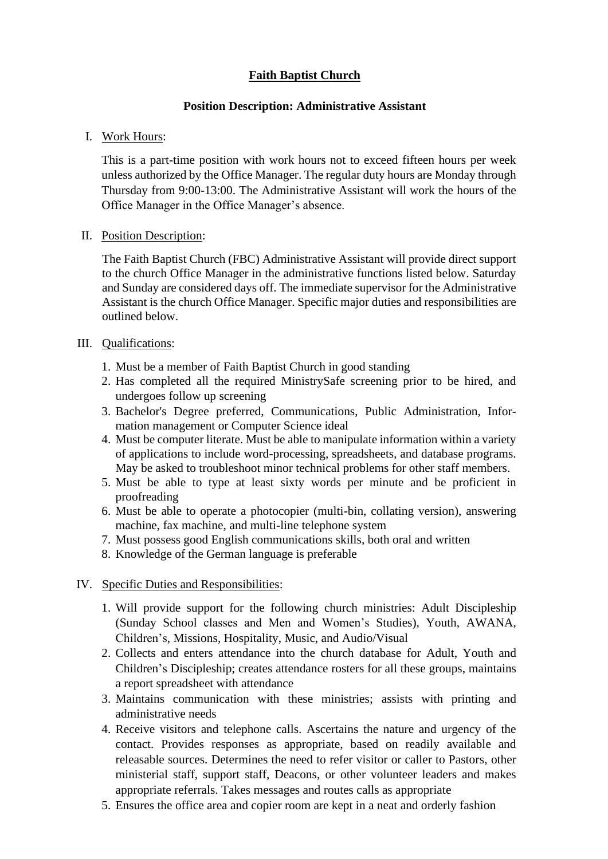## **Faith Baptist Church**

## **Position Description: Administrative Assistant**

I. Work Hours:

This is a part-time position with work hours not to exceed fifteen hours per week unless authorized by the Office Manager. The regular duty hours are Monday through Thursday from 9:00-13:00. The Administrative Assistant will work the hours of the Office Manager in the Office Manager's absence.

II. Position Description:

The Faith Baptist Church (FBC) Administrative Assistant will provide direct support to the church Office Manager in the administrative functions listed below. Saturday and Sunday are considered days off. The immediate supervisor for the Administrative Assistant is the church Office Manager. Specific major duties and responsibilities are outlined below.

## III. Qualifications:

- 1. Must be a member of Faith Baptist Church in good standing
- 2. Has completed all the required MinistrySafe screening prior to be hired, and undergoes follow up screening
- 3. Bachelor's Degree preferred, Communications, Public Administration, Information management or Computer Science ideal
- 4. Must be computer literate. Must be able to manipulate information within a variety of applications to include word-processing, spreadsheets, and database programs. May be asked to troubleshoot minor technical problems for other staff members.
- 5. Must be able to type at least sixty words per minute and be proficient in proofreading
- 6. Must be able to operate a photocopier (multi-bin, collating version), answering machine, fax machine, and multi-line telephone system
- 7. Must possess good English communications skills, both oral and written
- 8. Knowledge of the German language is preferable
- IV. Specific Duties and Responsibilities:
	- 1. Will provide support for the following church ministries: Adult Discipleship (Sunday School classes and Men and Women's Studies), Youth, AWANA, Children's, Missions, Hospitality, Music, and Audio/Visual
	- 2. Collects and enters attendance into the church database for Adult, Youth and Children's Discipleship; creates attendance rosters for all these groups, maintains a report spreadsheet with attendance
	- 3. Maintains communication with these ministries; assists with printing and administrative needs
	- 4. Receive visitors and telephone calls. Ascertains the nature and urgency of the contact. Provides responses as appropriate, based on readily available and releasable sources. Determines the need to refer visitor or caller to Pastors, other ministerial staff, support staff, Deacons, or other volunteer leaders and makes appropriate referrals. Takes messages and routes calls as appropriate
	- 5. Ensures the office area and copier room are kept in a neat and orderly fashion